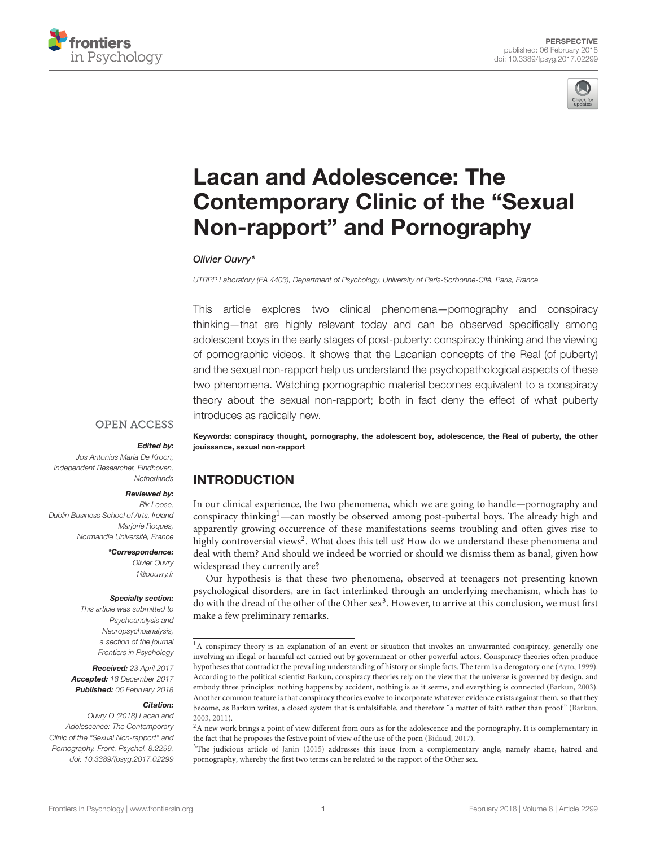



# Lacan and Adolescence: The [Contemporary Clinic of the "Sexual](https://www.frontiersin.org/articles/10.3389/fpsyg.2017.02299/full) Non-rapport" and Pornography

#### [Olivier Ouvry\\*](http://loop.frontiersin.org/people/390200/overview)

UTRPP Laboratory (EA 4403), Department of Psychology, University of Paris-Sorbonne-Cité, Paris, France

This article explores two clinical phenomena—pornography and conspiracy thinking—that are highly relevant today and can be observed specifically among adolescent boys in the early stages of post-puberty: conspiracy thinking and the viewing of pornographic videos. It shows that the Lacanian concepts of the Real (of puberty) and the sexual non-rapport help us understand the psychopathological aspects of these two phenomena. Watching pornographic material becomes equivalent to a conspiracy theory about the sexual non-rapport; both in fact deny the effect of what puberty introduces as radically new.

#### **OPEN ACCESS**

#### Edited by:

Jos Antonius Maria De Kroon, Independent Researcher, Eindhoven, **Netherlands** 

#### Reviewed by:

Rik Loose, Dublin Business School of Arts, Ireland Mariorie Roques, Normandie Université, France

\*Correspondence:

Olivier Ouvry [1@oouvry.fr](mailto:1@oouvry.fr)

#### Specialty section:

This article was submitted to Psychoanalysis and Neuropsychoanalysis, a section of the journal Frontiers in Psychology

Received: 23 April 2017 Accepted: 18 December 2017 Published: 06 February 2018

#### Citation:

Ouvry O (2018) Lacan and Adolescence: The Contemporary Clinic of the "Sexual Non-rapport" and Pornography. Front. Psychol. 8:2299. doi: [10.3389/fpsyg.2017.02299](https://doi.org/10.3389/fpsyg.2017.02299)

Keywords: conspiracy thought, pornography, the adolescent boy, adolescence, the Real of puberty, the other jouissance, sexual non-rapport

## INTRODUCTION

In our clinical experience, the two phenomena, which we are going to handle—pornography and conspiracy thinking<sup>1</sup>—can mostly be observed among post-pubertal boys. The already high and apparently growing occurrence of these manifestations seems troubling and often gives rise to highly controversial views<sup>2</sup>. What does this tell us? How do we understand these phenomena and deal with them? And should we indeed be worried or should we dismiss them as banal, given how widespread they currently are?

Our hypothesis is that these two phenomena, observed at teenagers not presenting known psychological disorders, are in fact interlinked through an underlying mechanism, which has to do with the dread of the other of the Other sex<sup>[3](#page-0-0)</sup>. However, to arrive at this conclusion, we must first make a few preliminary remarks.

<sup>&</sup>lt;sup>1</sup>A conspiracy theory is an explanation of an event or situation that invokes an unwarranted conspiracy, generally one involving an illegal or harmful act carried out by government or other powerful actors. Conspiracy theories often produce hypotheses that contradict the prevailing understanding of history or simple facts. The term is a derogatory one [\(Ayto, 1999\)](#page-3-0). According to the political scientist Barkun, conspiracy theories rely on the view that the universe is governed by design, and embody three principles: nothing happens by accident, nothing is as it seems, and everything is connected [\(Barkun, 2003\)](#page-3-1). Another common feature is that conspiracy theories evolve to incorporate whatever evidence exists against them, so that they become, as Barkun writes, a closed system that is unfalsifiable, and therefore "a matter of faith rather than proof" [\(Barkun,](#page-3-1) [2003,](#page-3-1) [2011\)](#page-3-2).

<sup>&</sup>lt;sup>2</sup>A new work brings a point of view different from ours as for the adolescence and the pornography. It is complementary in the fact that he proposes the festive point of view of the use of the porn [\(Bidaud, 2017\)](#page-3-3).

<span id="page-0-0"></span><sup>&</sup>lt;sup>3</sup>The judicious article of [Janin \(2015\)](#page-3-4) addresses this issue from a complementary angle, namely shame, hatred and pornography, whereby the first two terms can be related to the rapport of the Other sex.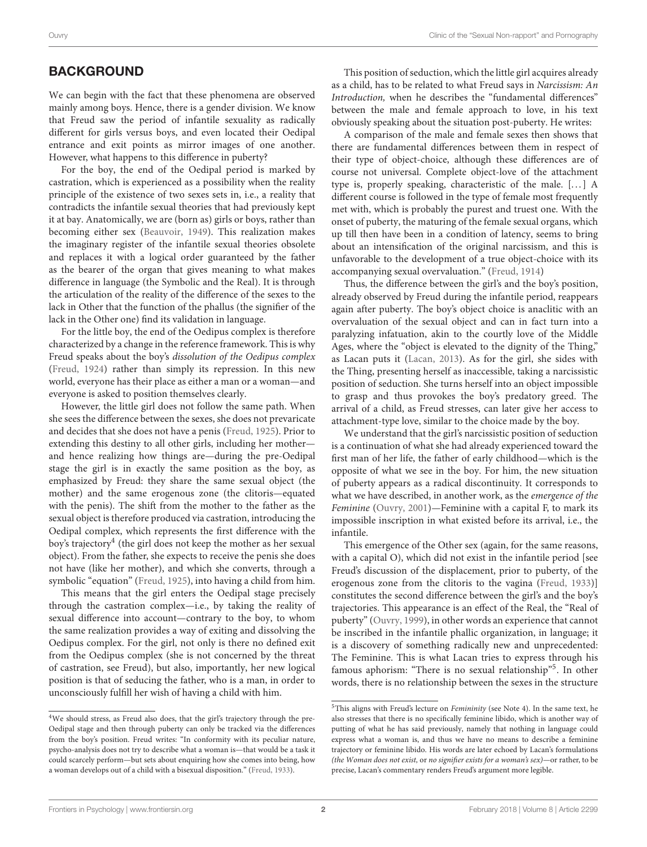## **BACKGROUND**

We can begin with the fact that these phenomena are observed mainly among boys. Hence, there is a gender division. We know that Freud saw the period of infantile sexuality as radically different for girls versus boys, and even located their Oedipal entrance and exit points as mirror images of one another. However, what happens to this difference in puberty?

For the boy, the end of the Oedipal period is marked by castration, which is experienced as a possibility when the reality principle of the existence of two sexes sets in, i.e., a reality that contradicts the infantile sexual theories that had previously kept it at bay. Anatomically, we are (born as) girls or boys, rather than becoming either sex [\(Beauvoir, 1949\)](#page-3-5). This realization makes the imaginary register of the infantile sexual theories obsolete and replaces it with a logical order guaranteed by the father as the bearer of the organ that gives meaning to what makes difference in language (the Symbolic and the Real). It is through the articulation of the reality of the difference of the sexes to the lack in Other that the function of the phallus (the signifier of the lack in the Other one) find its validation in language.

For the little boy, the end of the Oedipus complex is therefore characterized by a change in the reference framework. This is why Freud speaks about the boy's dissolution of the Oedipus complex [\(Freud, 1924\)](#page-3-6) rather than simply its repression. In this new world, everyone has their place as either a man or a woman—and everyone is asked to position themselves clearly.

However, the little girl does not follow the same path. When she sees the difference between the sexes, she does not prevaricate and decides that she does not have a penis [\(Freud, 1925\)](#page-3-7). Prior to extending this destiny to all other girls, including her mother and hence realizing how things are—during the pre-Oedipal stage the girl is in exactly the same position as the boy, as emphasized by Freud: they share the same sexual object (the mother) and the same erogenous zone (the clitoris—equated with the penis). The shift from the mother to the father as the sexual object is therefore produced via castration, introducing the Oedipal complex, which represents the first difference with the boy's trajectory ${}^4$  ${}^4$  (the girl does not keep the mother as her sexual object). From the father, she expects to receive the penis she does not have (like her mother), and which she converts, through a symbolic "equation" [\(Freud, 1925\)](#page-3-7), into having a child from him.

This means that the girl enters the Oedipal stage precisely through the castration complex—i.e., by taking the reality of sexual difference into account—contrary to the boy, to whom the same realization provides a way of exiting and dissolving the Oedipus complex. For the girl, not only is there no defined exit from the Oedipus complex (she is not concerned by the threat of castration, see Freud), but also, importantly, her new logical position is that of seducing the father, who is a man, in order to unconsciously fulfill her wish of having a child with him.

This position of seduction, which the little girl acquires already as a child, has to be related to what Freud says in Narcissism: An Introduction, when he describes the "fundamental differences" between the male and female approach to love, in his text obviously speaking about the situation post-puberty. He writes:

A comparison of the male and female sexes then shows that there are fundamental differences between them in respect of their type of object-choice, although these differences are of course not universal. Complete object-love of the attachment type is, properly speaking, characteristic of the male. [. . . ] A different course is followed in the type of female most frequently met with, which is probably the purest and truest one. With the onset of puberty, the maturing of the female sexual organs, which up till then have been in a condition of latency, seems to bring about an intensification of the original narcissism, and this is unfavorable to the development of a true object-choice with its accompanying sexual overvaluation." [\(Freud, 1914\)](#page-3-9)

Thus, the difference between the girl's and the boy's position, already observed by Freud during the infantile period, reappears again after puberty. The boy's object choice is anaclitic with an overvaluation of the sexual object and can in fact turn into a paralyzing infatuation, akin to the courtly love of the Middle Ages, where the "object is elevated to the dignity of the Thing," as Lacan puts it [\(Lacan, 2013\)](#page-3-10). As for the girl, she sides with the Thing, presenting herself as inaccessible, taking a narcissistic position of seduction. She turns herself into an object impossible to grasp and thus provokes the boy's predatory greed. The arrival of a child, as Freud stresses, can later give her access to attachment-type love, similar to the choice made by the boy.

We understand that the girl's narcissistic position of seduction is a continuation of what she had already experienced toward the first man of her life, the father of early childhood—which is the opposite of what we see in the boy. For him, the new situation of puberty appears as a radical discontinuity. It corresponds to what we have described, in another work, as the emergence of the Feminine [\(Ouvry, 2001\)](#page-3-11)—Feminine with a capital F, to mark its impossible inscription in what existed before its arrival, i.e., the infantile.

This emergence of the Other sex (again, for the same reasons, with a capital O), which did not exist in the infantile period [see Freud's discussion of the displacement, prior to puberty, of the erogenous zone from the clitoris to the vagina [\(Freud, 1933\)](#page-3-8)] constitutes the second difference between the girl's and the boy's trajectories. This appearance is an effect of the Real, the "Real of puberty" [\(Ouvry, 1999\)](#page-3-12), in other words an experience that cannot be inscribed in the infantile phallic organization, in language; it is a discovery of something radically new and unprecedented: The Feminine. This is what Lacan tries to express through his famous aphorism: "There is no sexual relationship"<sup>[5](#page-1-1)</sup>. In other words, there is no relationship between the sexes in the structure

<span id="page-1-0"></span><sup>4</sup>We should stress, as Freud also does, that the girl's trajectory through the pre-Oedipal stage and then through puberty can only be tracked via the differences from the boy's position. Freud writes: "In conformity with its peculiar nature, psycho-analysis does not try to describe what a woman is—that would be a task it could scarcely perform—but sets about enquiring how she comes into being, how a woman develops out of a child with a bisexual disposition." [\(Freud, 1933\)](#page-3-8).

<span id="page-1-1"></span> $5$ This aligns with Freud's lecture on *Femininity* (see Note 4). In the same text, he also stresses that there is no specifically feminine libido, which is another way of putting of what he has said previously, namely that nothing in language could express what a woman is, and thus we have no means to describe a feminine trajectory or feminine libido. His words are later echoed by Lacan's formulations (the Woman does not exist, or no signifier exists for a woman's sex)—or rather, to be precise, Lacan's commentary renders Freud's argument more legible.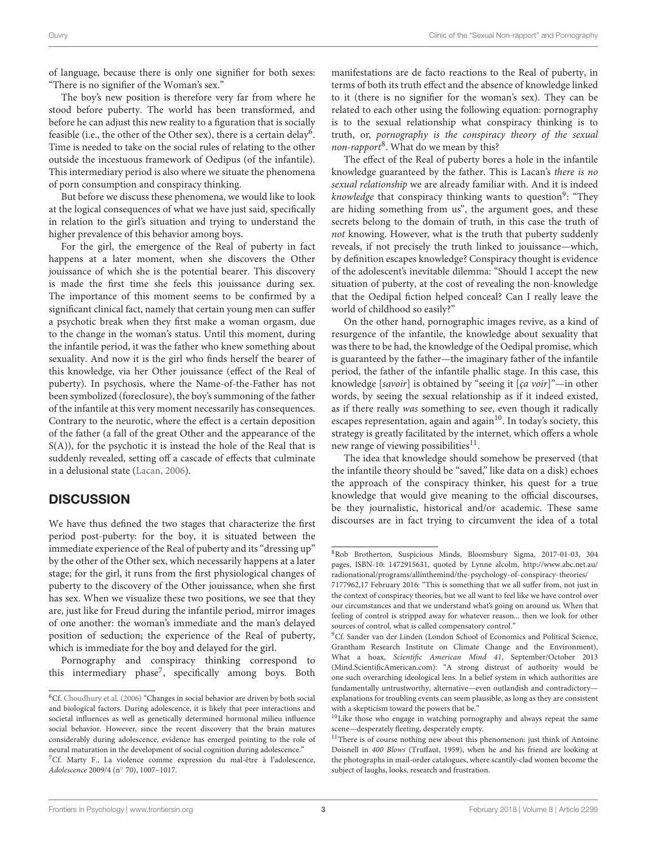of language, because there is only one signifier for both sexes: "There is no signifier of the Woman's sex."

The boy's new position is therefore very far from where he stood before puberty. The world has been transformed, and before he can adjust this new reality to a figuration that is socially feasible (i.e., the other of the Other sex), there is a certain delay<sup>[6](#page-2-0)</sup>. Time is needed to take on the social rules of relating to the other outside the incestuous framework of Oedipus (of the infantile). This intermediary period is also where we situate the phenomena of porn consumption and conspiracy thinking.

But before we discuss these phenomena, we would like to look at the logical consequences of what we have just said, specifically in relation to the girl's situation and trying to understand the higher prevalence of this behavior among boys.

For the girl, the emergence of the Real of puberty in fact happens at a later moment, when she discovers the Other jouissance of which she is the potential bearer. This discovery is made the first time she feels this jouissance during sex. The importance of this moment seems to be confirmed by a significant clinical fact, namely that certain young men can suffer a psychotic break when they first make a woman orgasm, due to the change in the woman's status. Until this moment, during the infantile period, it was the father who knew something about sexuality. And now it is the girl who finds herself the bearer of this knowledge, via her Other jouissance (effect of the Real of puberty). In psychosis, where the Name-of-the-Father has not been symbolized (foreclosure), the boy's summoning of the father of the infantile at this very moment necessarily has consequences. Contrary to the neurotic, where the effect is a certain deposition of the father (a fall of the great Other and the appearance of the S(A)), for the psychotic it is instead the hole of the Real that is suddenly revealed, setting off a cascade of effects that culminate in a delusional state [\(Lacan, 2006\)](#page-3-13).

## **DISCUSSION**

We have thus defined the two stages that characterize the first period post-puberty: for the boy, it is situated between the immediate experience of the Real of puberty and its "dressing up" by the other of the Other sex, which necessarily happens at a later stage; for the girl, it runs from the first physiological changes of puberty to the discovery of the Other jouissance, when she first has sex. When we visualize these two positions, we see that they are, just like for Freud during the infantile period, mirror images of one another: the woman's immediate and the man's delayed position of seduction; the experience of the Real of puberty, which is immediate for the boy and delayed for the girl.

Pornography and conspiracy thinking correspond to this intermediary phase<sup>[7](#page-2-1)</sup>, specifically among boys. Both

manifestations are de facto reactions to the Real of puberty, in terms of both its truth effect and the absence of knowledge linked to it (there is no signifier for the woman's sex). They can be related to each other using the following equation: pornography is to the sexual relationship what conspiracy thinking is to truth, or, pornography is the conspiracy theory of the sexual non-rapport<sup>[8](#page-2-2)</sup>. What do we mean by this?

The effect of the Real of puberty bores a hole in the infantile knowledge guaranteed by the father. This is Lacan's there is no sexual relationship we are already familiar with. And it is indeed knowledge that conspiracy thinking wants to question<sup>[9](#page-2-3)</sup>: "They are hiding something from us", the argument goes, and these secrets belong to the domain of truth, in this case the truth of not knowing. However, what is the truth that puberty suddenly reveals, if not precisely the truth linked to jouissance—which, by definition escapes knowledge? Conspiracy thought is evidence of the adolescent's inevitable dilemma: "Should I accept the new situation of puberty, at the cost of revealing the non-knowledge that the Oedipal fiction helped conceal? Can I really leave the world of childhood so easily?"

On the other hand, pornographic images revive, as a kind of resurgence of the infantile, the knowledge about sexuality that was there to be had, the knowledge of the Oedipal promise, which is guaranteed by the father—the imaginary father of the infantile period, the father of the infantile phallic stage. In this case, this knowledge [savoir] is obtained by "seeing it [ça voir]"—in other words, by seeing the sexual relationship as if it indeed existed, as if there really was something to see, even though it radically escapes representation, again and again<sup>[10](#page-2-4)</sup>. In today's society, this strategy is greatly facilitated by the internet, which offers a whole new range of viewing possibilities<sup>[11](#page-2-5)</sup>.

The idea that knowledge should somehow be preserved (that the infantile theory should be "saved," like data on a disk) echoes the approach of the conspiracy thinker, his quest for a true knowledge that would give meaning to the official discourses, be they journalistic, historical and/or academic. These same discourses are in fact trying to circumvent the idea of a total

<span id="page-2-0"></span> $^6C\!f$ . [Choudhury et al. \(2006\)](#page-3-14) "Changes in social behavior are driven by both social and biological factors. During adolescence, it is likely that peer interactions and societal influences as well as genetically determined hormonal milieu influence social behavior. However, since the recent discovery that the brain matures considerably during adolescence, evidence has emerged pointing to the role of neural maturation in the development of social cognition during adolescence."

<span id="page-2-1"></span><sup>7</sup>Cf. Marty F., La violence comme expression du mal-être à l'adolescence, Adolescence 2009/4 (n◦ 70), 1007–1017.

<span id="page-2-2"></span><sup>8</sup>Rob Brotherton, Suspicious Minds, Bloomsbury Sigma, 2017-01-03, 304 pages, ISBN-10: 1472915631, quoted by Lynne alcolm, [http://www.abc.net.au/](http://www.abc.net.au/radionational/programs/allinthemind/the-psychology-of-conspiracy-theories/7177962) [radionational/programs/allinthemind/the-psychology-of-conspiracy-theories/](http://www.abc.net.au/radionational/programs/allinthemind/the-psychology-of-conspiracy-theories/7177962)

[<sup>7177962,</sup>](http://www.abc.net.au/radionational/programs/allinthemind/the-psychology-of-conspiracy-theories/7177962)17 February 2016: "This is something that we all suffer from, not just in the context of conspiracy theories, but we all want to feel like we have control over our circumstances and that we understand what's going on around us. When that feeling of control is stripped away for whatever reason... then we look for other sources of control, what is called compensatory control."

<span id="page-2-3"></span><sup>9</sup>Cf. Sander van der Linden (London School of Economics and Political Science, Grantham Research Institute on Climate Change and the Environment), What a hoax, Scientific American Mind 41, September/October 2013 (Mind.ScientificAmerican.com): "A strong distrust of authority would be one such overarching ideological lens. In a belief system in which authorities are fundamentally untrustworthy, alternative—even outlandish and contradictory explanations for troubling events can seem plausible, as long as they are consistent with a skepticism toward the powers that be."

<span id="page-2-4"></span><sup>10</sup>Like those who engage in watching pornography and always repeat the same scene—desperately fleeting, desperately empty.

<span id="page-2-5"></span><sup>&</sup>lt;sup>11</sup>There is of course nothing new about this phenomenon: just think of Antoine Doisnell in 400 Blows (Truffaut, 1959), when he and his friend are looking at the photographs in mail-order catalogues, where scantily-clad women become the subject of laughs, looks, research and frustration.